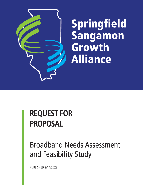

# **REQUEST FOR PROPOSAL**

## **Broadband Needs Assessment** and Feasibility Study

PUBLISHED 2/14/2022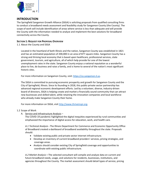

### **INTRODUCTION**

The Springfield Sangamon Growth Alliance (SSGA) is soliciting proposals from qualified consulting firms to conduct a broadband needs assessment and feasibility study for Sangamon County (the County). The scope of work will include identification of areas where service is less than adequate and will provide the County with the information needed to analyze and implement the best solutions for broadband connectivity across the County.

#### **SECTION 1: REQUEST FOR PROPOSAL OVERVIEW**

1.1 About the County and SSGA

Located in the heartland of both Illinois and the nation, Sangamon County was established in 1821 and has an estimated population of 200,000 in an area of 877 square miles. Sangamon County has a strong and thriving local economy that is based upon healthcare, professional services, state government, tourism, and agriculture, all of which help provide for one of the lowest unemployment rates in the state. Sangamon County enjoys a national reputation as a wonderful place to live, do business and raise a family, and is home to several of the nation's most significant historic sites.

For more information on Sangamon County, visit: [https://co.sangamon.il.us.](https://co.sangamon.il.us/)

The SSGA is committed to pursuing economic prosperity and growth for Sangamon County and the City of Springfield, Illinois. Since its founding in 2018, this public-private sector partnership has advanced regional economic development efforts. Led by a volunteer, diverse, industry-driven board of directors, SSGA is helping create and market a financially sound community that can attract new businesses and skilled talent, while retaining the innovation companies and local workforce who already make Sangamon County their home.

For more information on SSGA, visit [http://www.thriveinspi.org.](http://www.thriveinspi.org/)

#### 1.2 Scope of Work

A. Service and Infrastructure Analysis –

The COVID-19 pandemic highlighted the digital inequities experienced by rural communities and emphasized the importance of digital access for education, work, and health care.

*A.1 Technical Analysis* **-** The Illinois Department for Commerce and Economic Opportunity Office of Broadband created a dashboard of broadband availability throughout the state. Proposals should:

- Validate existing public and private sector internet infrastructure.
- Develop an inventory of current broadband providers' services, pricing strategies, and coverage areas.
- Analysis should consider existing City of Springfield coverage and opportunities to coordinate with existing public infrastructure.

*A.2 Market Analysis* **–** The selected consultant will compile and analyze data on current and future broadband needs, usage, and solutions for residents, businesses, institutions, and agencies throughout the County. The market assessment should detail types of service, pricing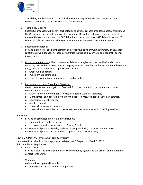

availability, and limitations. This may include conducting residential and business market research about the current providers and future needs.

#### B. Technology Options

Successful proposals will identify technologies to achieve reliable broadband access throughout the County and provide a framework for evaluating the options. It may be helpful to identify areas of the county that meet the FCC definition of broadband access (25 Mbps download / 3 Mbps upload), but do not provide service adequate for business or residential needs.

#### C. Potential Partnerships

Provide examples of entities that might be prospective partners with a summary of how each relationship would function. These partnerships include public, private, and nonprofit agency involvement.

- D. Financing and Funding The consultant will detail strategies to assist the SSGA and County obtaining needed funds from appropriate programs best matched to the recommended solution design. Financing and funding opportunities include:
	- a. Grant funding options
	- b. Public-private partnerships
	- c. Capital, revenue bond, and other self-funding options

#### E. Recommendation for Broadband Strategies

Based on consultant's analysis and feedback from the community, recommended business models should include:

- a. Ownership of network (Public, Private, or Public-Private Partnerships)
- b. Management and operation of network (Public, Private, or Public-Private Partnerships)
- c. Capital investment required
- d. Assets required
- e. Potential services and partners
- f. Potential private entities or cooperatives that may be interested in providing services

#### 1.3 Timing

- A. Provide an estimated project timeline including:
	- Estimated start and end dates
	- Proposed dates for presentation to County Board
- B. Consultant will provide biweekly updates on progress during the work period to SSGA.
- C. Consultant will provide digital and hard copies of final feasibility study.

#### **SECTION 2: PROPOSAL EVALUATION AND ACCEPTANCE**

Interested firms should submit a proposal no later than 5:00 p.m. on March 7, 2022.

- 2.1: Submission Requirements
	- A. Cover Letter

Provide a cover letter that summarizes the community's goals and the project and the point of contact for the firm.

B. Work plan

A detailed work plan will include:

• A description of tasks to be accomplished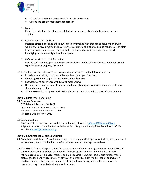

- The project timeline with deliverables and key milestones
- Outline the project management approach

#### D. Budget

Present a budget in a line-item format. Include a summary of estimated costs per task or activity.

E. Qualifications and Key Staff

Describe direct experience and knowledge your firm has with broadband solutions and with working with governments and public-private sector collaborations. Include resumes of key staff from the organization/team assigned to this project and provide an organization chart identifying personnel assigned to the proposal.

E. References with contact information Provide contact name, phone number, email address, and brief description of work performed. Highlight similar projects, if relevant.

2.2: Evaluation Criteria – The SSGA will evaluate proposals based on the following criteria:

- Experience and ability to successfully complete the scope of services
- Knowledge of technologies to provide broadband services
- Knowledge and experience with funding mechanisms
- Demonstrated experience with similar broadband planning activities in communities of similar size and demographics
- Ability to complete scope of work within the established time and in a cost-effective manner

#### **SECTION 3: PROPOSAL PROCEDURE**

3.1 Proposed Schedule

RFP Released: February 14, 2022 Questions due to SSGA: February 21, 2022 Responses provided: February 25, 2022 Proposals Due: March 7, 2022

3.2 Communications

Proposal-related questions should be emailed to Abby Powell at [APowell@ThriveinSPI.org](mailto:APowell@ThriveinSPI.org) All proposals should be submitted with the subject "Sangamon County Broadband Proposal" via email to [APowell@thriveinspi.org.](mailto:APowell@thriveinspi.org)

#### **SECTION 4: GENERAL TERMS AND CONDITIONS**

- 4.1 Compliance with Laws Consultant must agree to comply with all applicable federal, state, and local employment, nondiscrimination, benefits, taxation, and all other applicable laws.
- 4.2 Non-Discrimination In performing the services required under any agreement between SSGA and the consultant, the consultant shall not discriminate against any person on the basis of race, religion, creed, color, alienage, national origin, citizenship status, sex, sexual orientation, marital status, gender identity, age, ancestry, physical or mental disability, medical condition including medical characteristics, pregnancy, marital status, veteran status, or any other classification protected by applicable federal, state, or local laws.